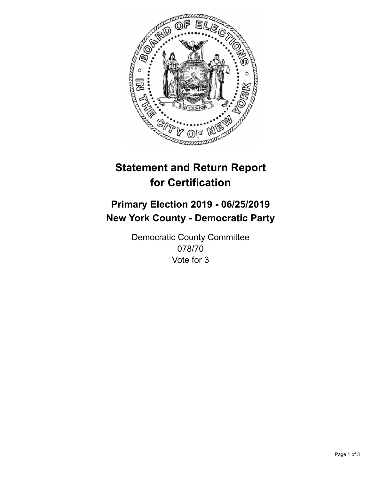

## **Statement and Return Report for Certification**

## **Primary Election 2019 - 06/25/2019 New York County - Democratic Party**

Democratic County Committee 078/70 Vote for 3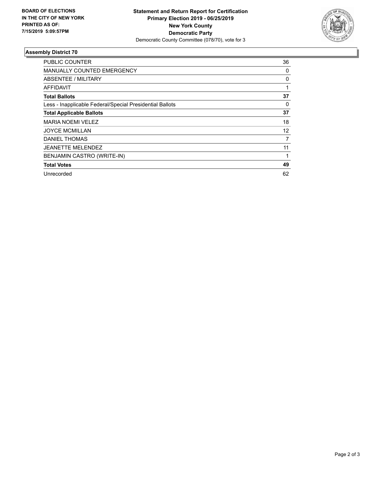

## **Assembly District 70**

| PUBLIC COUNTER                                           | 36 |
|----------------------------------------------------------|----|
| MANUALLY COUNTED EMERGENCY                               | 0  |
| ABSENTEE / MILITARY                                      | 0  |
| <b>AFFIDAVIT</b>                                         |    |
| <b>Total Ballots</b>                                     | 37 |
| Less - Inapplicable Federal/Special Presidential Ballots | 0  |
| <b>Total Applicable Ballots</b>                          | 37 |
| <b>MARIA NOEMI VELEZ</b>                                 | 18 |
| <b>JOYCE MCMILLAN</b>                                    | 12 |
| <b>DANIEL THOMAS</b>                                     | 7  |
| <b>JEANETTE MELENDEZ</b>                                 | 11 |
| BENJAMIN CASTRO (WRITE-IN)                               |    |
| <b>Total Votes</b>                                       | 49 |
| Unrecorded                                               | 62 |